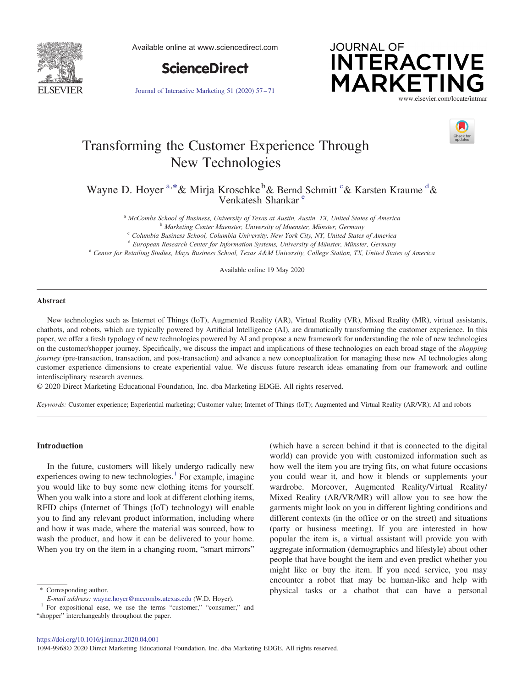

Available online at www.sciencedirect.com



Journal of Interactive Marketing 51 (2020) 57–71





# Transforming the Customer Experience Through New Technologies

Wayne D. Hoyer <sup>a,\*</sup>& Mirja Kroschke <sup>b</sup>& Bernd Schmitt <sup>c</sup>& Karsten Kraume <sup>d</sup>& Venkatesh Shankar<sup>e</sup>

<sup>a</sup> McCombs School of Business, University of Texas at Austin, Austin, TX, United States of America<br><sup>b</sup> Marketing Center Muenster, University of Muenster, Münster, Germany<br><sup>c</sup> Columbia Business School, Columbia University,

<sup>d</sup> European Research Center for Information Systems, University of Münster, Münster, Germany

<sup>e</sup> Center for Retailing Studies, Mays Business School, Texas A&M University, College Station, TX, United States of America

Available online 19 May 2020

## Abstract

New technologies such as Internet of Things (IoT), Augmented Reality (AR), Virtual Reality (VR), Mixed Reality (MR), virtual assistants, chatbots, and robots, which are typically powered by Artificial Intelligence (AI), are dramatically transforming the customer experience. In this paper, we offer a fresh typology of new technologies powered by AI and propose a new framework for understanding the role of new technologies on the customer/shopper journey. Specifically, we discuss the impact and implications of these technologies on each broad stage of the *shopping* journey (pre-transaction, transaction, and post-transaction) and advance a new conceptualization for managing these new AI technologies along customer experience dimensions to create experiential value. We discuss future research ideas emanating from our framework and outline interdisciplinary research avenues.

© 2020 Direct Marketing Educational Foundation, Inc. dba Marketing EDGE. All rights reserved.

Keywords: Customer experience; Experiential marketing; Customer value; Internet of Things (IoT); Augmented and Virtual Reality (AR/VR); AI and robots

## Introduction

In the future, customers will likely undergo radically new experiences owing to new technologies. $<sup>1</sup>$  For example, imagine</sup> you would like to buy some new clothing items for yourself. When you walk into a store and look at different clothing items, RFID chips (Internet of Things (IoT) technology) will enable you to find any relevant product information, including where and how it was made, where the material was sourced, how to wash the product, and how it can be delivered to your home. When you try on the item in a changing room, "smart mirrors"

(which have a screen behind it that is connected to the digital world) can provide you with customized information such as how well the item you are trying fits, on what future occasions you could wear it, and how it blends or supplements your wardrobe. Moreover, Augmented Reality/Virtual Reality/ Mixed Reality (AR/VR/MR) will allow you to see how the garments might look on you in different lighting conditions and different contexts (in the office or on the street) and situations (party or business meeting). If you are interested in how popular the item is, a virtual assistant will provide you with aggregate information (demographics and lifestyle) about other people that have bought the item and even predict whether you might like or buy the item. If you need service, you may encounter a robot that may be human-like and help with \* Corresponding author. The corresponding author. The corresponding author. The corresponding author.

E-mail address: wayne.hoyer@mccombs.utexas.edu (W.D. Hoyer).

<sup>&</sup>lt;sup>1</sup> For expositional ease, we use the terms "customer," "consumer," and "shopper" interchangeably throughout the paper.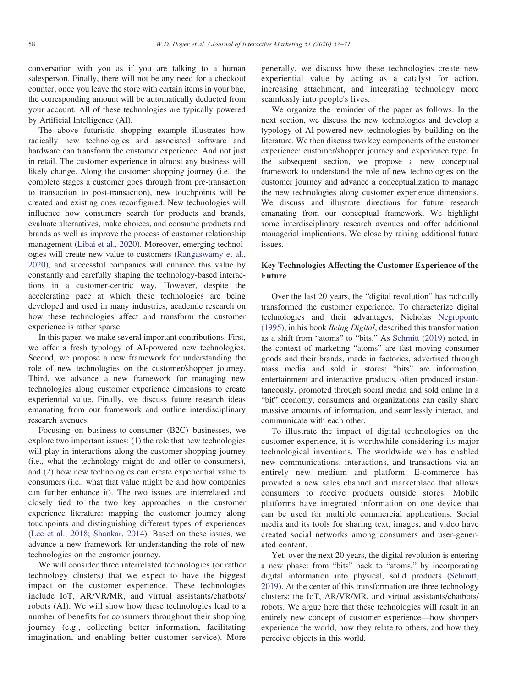conversation with you as if you are talking to a human salesperson. Finally, there will not be any need for a checkout counter; once you leave the store with certain items in your bag, the corresponding amount will be automatically deducted from your account. All of these technologies are typically powered by Artificial Intelligence (AI).

The above futuristic shopping example illustrates how radically new technologies and associated software and hardware can transform the customer experience. And not just in retail. The customer experience in almost any business will likely change. Along the customer shopping journey (i.e., the complete stages a customer goes through from pre-transaction to transaction to post-transaction), new touchpoints will be created and existing ones reconfigured. New technologies will influence how consumers search for products and brands, evaluate alternatives, make choices, and consume products and brands as well as improve the process of customer relationship management (Libai et al., 2020). Moreover, emerging technologies will create new value to customers (Rangaswamy et al., 2020), and successful companies will enhance this value by constantly and carefully shaping the technology-based interactions in a customer-centric way. However, despite the accelerating pace at which these technologies are being developed and used in many industries, academic research on how these technologies affect and transform the customer experience is rather sparse.

In this paper, we make several important contributions. First, we offer a fresh typology of AI-powered new technologies. Second, we propose a new framework for understanding the role of new technologies on the customer/shopper journey. Third, we advance a new framework for managing new technologies along customer experience dimensions to create experiential value. Finally, we discuss future research ideas emanating from our framework and outline interdisciplinary research avenues.

Focusing on business-to-consumer (B2C) businesses, we explore two important issues: (1) the role that new technologies will play in interactions along the customer shopping journey (i.e., what the technology might do and offer to consumers), and (2) how new technologies can create experiential value to consumers (i.e., what that value might be and how companies can further enhance it). The two issues are interrelated and closely tied to the two key approaches in the customer experience literature: mapping the customer journey along touchpoints and distinguishing different types of experiences (Lee et al., 2018; Shankar, 2014). Based on these issues, we advance a new framework for understanding the role of new technologies on the customer journey.

We will consider three interrelated technologies (or rather technology clusters) that we expect to have the biggest impact on the customer experience. These technologies include IoT, AR/VR/MR, and virtual assistants/chatbots/ robots (AI). We will show how these technologies lead to a number of benefits for consumers throughout their shopping journey (e.g., collecting better information, facilitating imagination, and enabling better customer service). More generally, we discuss how these technologies create new experiential value by acting as a catalyst for action, increasing attachment, and integrating technology more seamlessly into people's lives.

We organize the reminder of the paper as follows. In the next section, we discuss the new technologies and develop a typology of AI-powered new technologies by building on the literature. We then discuss two key components of the customer experience: customer/shopper journey and experience type. In the subsequent section, we propose a new conceptual framework to understand the role of new technologies on the customer journey and advance a conceptualization to manage the new technologies along customer experience dimensions. We discuss and illustrate directions for future research emanating from our conceptual framework. We highlight some interdisciplinary research avenues and offer additional managerial implications. We close by raising additional future issues.

## Key Technologies Affecting the Customer Experience of the Future

Over the last 20 years, the "digital revolution" has radically transformed the customer experience. To characterize digital technologies and their advantages, Nicholas Negroponte (1995), in his book Being Digital, described this transformation as a shift from "atoms" to "bits." As Schmitt (2019) noted, in the context of marketing "atoms" are fast moving consumer goods and their brands, made in factories, advertised through mass media and sold in stores; "bits" are information, entertainment and interactive products, often produced instantaneously, promoted through social media and sold online In a "bit" economy, consumers and organizations can easily share massive amounts of information, and seamlessly interact, and communicate with each other.

To illustrate the impact of digital technologies on the customer experience, it is worthwhile considering its major technological inventions. The worldwide web has enabled new communications, interactions, and transactions via an entirely new medium and platform. E-commerce has provided a new sales channel and marketplace that allows consumers to receive products outside stores. Mobile platforms have integrated information on one device that can be used for multiple commercial applications. Social media and its tools for sharing text, images, and video have created social networks among consumers and user-generated content.

Yet, over the next 20 years, the digital revolution is entering a new phase: from "bits" back to "atoms," by incorporating digital information into physical, solid products (Schmitt, 2019). At the center of this transformation are three technology clusters: the IoT, AR/VR/MR, and virtual assistants/chatbots/ robots. We argue here that these technologies will result in an entirely new concept of customer experience—how shoppers experience the world, how they relate to others, and how they perceive objects in this world.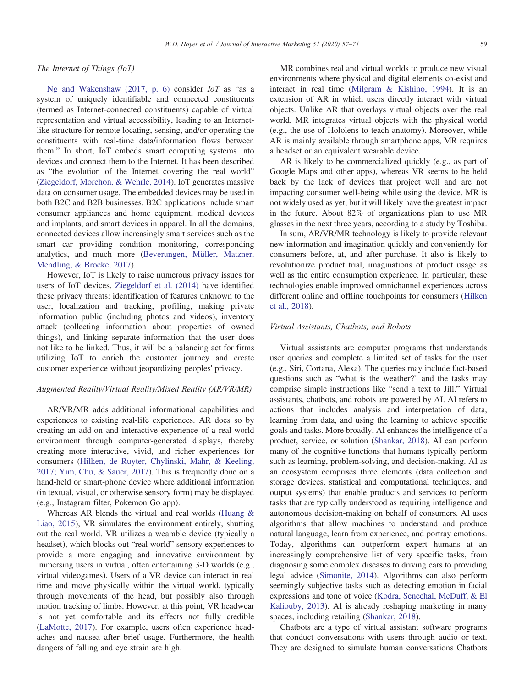#### The Internet of Things (IoT)

Ng and Wakenshaw (2017, p. 6) consider  $I \circ T$  as "as a system of uniquely identifiable and connected constituents (termed as Internet-connected constituents) capable of virtual representation and virtual accessibility, leading to an Internetlike structure for remote locating, sensing, and/or operating the constituents with real-time data/information flows between them." In short, IoT embeds smart computing systems into devices and connect them to the Internet. It has been described as "the evolution of the Internet covering the real world" (Ziegeldorf, Morchon, & Wehrle, 2014). IoT generates massive data on consumer usage. The embedded devices may be used in both B2C and B2B businesses. B2C applications include smart consumer appliances and home equipment, medical devices and implants, and smart devices in apparel. In all the domains, connected devices allow increasingly smart services such as the smart car providing condition monitoring, corresponding analytics, and much more (Beverungen, Müller, Matzner, Mendling, & Brocke, 2017).

However, IoT is likely to raise numerous privacy issues for users of IoT devices. Ziegeldorf et al. (2014) have identified these privacy threats: identification of features unknown to the user, localization and tracking, profiling, making private information public (including photos and videos), inventory attack (collecting information about properties of owned things), and linking separate information that the user does not like to be linked. Thus, it will be a balancing act for firms utilizing IoT to enrich the customer journey and create customer experience without jeopardizing peoples' privacy.

#### Augmented Reality/Virtual Reality/Mixed Reality (AR/VR/MR)

AR/VR/MR adds additional informational capabilities and experiences to existing real-life experiences. AR does so by creating an add-on and interactive experience of a real-world environment through computer-generated displays, thereby creating more interactive, vivid, and richer experiences for consumers (Hilken, de Ruyter, Chylinski, Mahr, & Keeling, 2017; Yim, Chu, & Sauer, 2017). This is frequently done on a hand-held or smart-phone device where additional information (in textual, visual, or otherwise sensory form) may be displayed (e.g., Instagram filter, Pokemon Go app).

Whereas AR blends the virtual and real worlds (Huang & Liao, 2015), VR simulates the environment entirely, shutting out the real world. VR utilizes a wearable device (typically a headset), which blocks out "real world" sensory experiences to provide a more engaging and innovative environment by immersing users in virtual, often entertaining 3-D worlds (e.g., virtual videogames). Users of a VR device can interact in real time and move physically within the virtual world, typically through movements of the head, but possibly also through motion tracking of limbs. However, at this point, VR headwear is not yet comfortable and its effects not fully credible (LaMotte, 2017). For example, users often experience headaches and nausea after brief usage. Furthermore, the health dangers of falling and eye strain are high.

MR combines real and virtual worlds to produce new visual environments where physical and digital elements co-exist and interact in real time (Milgram & Kishino, 1994). It is an extension of AR in which users directly interact with virtual objects. Unlike AR that overlays virtual objects over the real world, MR integrates virtual objects with the physical world (e.g., the use of Hololens to teach anatomy). Moreover, while AR is mainly available through smartphone apps, MR requires a headset or an equivalent wearable device.

AR is likely to be commercialized quickly (e.g., as part of Google Maps and other apps), whereas VR seems to be held back by the lack of devices that project well and are not impacting consumer well-being while using the device. MR is not widely used as yet, but it will likely have the greatest impact in the future. About 82% of organizations plan to use MR glasses in the next three years, according to a study by Toshiba.

In sum, AR/VR/MR technology is likely to provide relevant new information and imagination quickly and conveniently for consumers before, at, and after purchase. It also is likely to revolutionize product trial, imaginations of product usage as well as the entire consumption experience. In particular, these technologies enable improved omnichannel experiences across different online and offline touchpoints for consumers (Hilken et al., 2018).

#### Virtual Assistants, Chatbots, and Robots

Virtual assistants are computer programs that understands user queries and complete a limited set of tasks for the user (e.g., Siri, Cortana, Alexa). The queries may include fact-based questions such as "what is the weather?" and the tasks may comprise simple instructions like "send a text to Jill." Virtual assistants, chatbots, and robots are powered by AI. AI refers to actions that includes analysis and interpretation of data, learning from data, and using the learning to achieve specific goals and tasks. More broadly, AI enhances the intelligence of a product, service, or solution (Shankar, 2018). AI can perform many of the cognitive functions that humans typically perform such as learning, problem-solving, and decision-making. AI as an ecosystem comprises three elements (data collection and storage devices, statistical and computational techniques, and output systems) that enable products and services to perform tasks that are typically understood as requiring intelligence and autonomous decision-making on behalf of consumers. AI uses algorithms that allow machines to understand and produce natural language, learn from experience, and portray emotions. Today, algorithms can outperform expert humans at an increasingly comprehensive list of very specific tasks, from diagnosing some complex diseases to driving cars to providing legal advice (Simonite, 2014). Algorithms can also perform seemingly subjective tasks such as detecting emotion in facial expressions and tone of voice (Kodra, Senechal, McDuff, & El Kaliouby, 2013). AI is already reshaping marketing in many spaces, including retailing (Shankar, 2018).

Chatbots are a type of virtual assistant software programs that conduct conversations with users through audio or text. They are designed to simulate human conversations Chatbots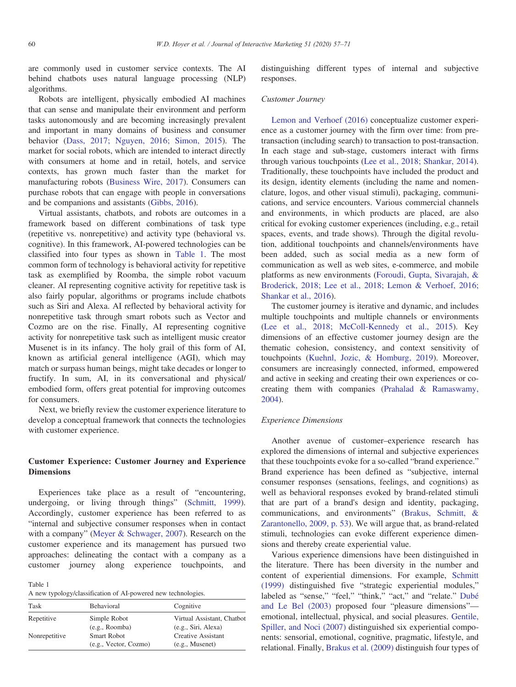are commonly used in customer service contexts. The AI behind chatbots uses natural language processing (NLP) algorithms.

Robots are intelligent, physically embodied AI machines that can sense and manipulate their environment and perform tasks autonomously and are becoming increasingly prevalent and important in many domains of business and consumer behavior (Dass, 2017; Nguyen, 2016; Simon, 2015). The market for social robots, which are intended to interact directly with consumers at home and in retail, hotels, and service contexts, has grown much faster than the market for manufacturing robots (Business Wire, 2017). Consumers can purchase robots that can engage with people in conversations and be companions and assistants (Gibbs, 2016).

Virtual assistants, chatbots, and robots are outcomes in a framework based on different combinations of task type (repetitive vs. nonrepetitive) and activity type (behavioral vs. cognitive). In this framework, AI-powered technologies can be classified into four types as shown in Table 1. The most common form of technology is behavioral activity for repetitive task as exemplified by Roomba, the simple robot vacuum cleaner. AI representing cognitive activity for repetitive task is also fairly popular, algorithms or programs include chatbots such as Siri and Alexa. AI reflected by behavioral activity for nonrepetitive task through smart robots such as Vector and Cozmo are on the rise. Finally, AI representing cognitive activity for nonrepetitive task such as intelligent music creator Musenet is in its infancy. The holy grail of this form of AI, known as artificial general intelligence (AGI), which may match or surpass human beings, might take decades or longer to fructify. In sum, AI, in its conversational and physical/ embodied form, offers great potential for improving outcomes for consumers.

Next, we briefly review the customer experience literature to develop a conceptual framework that connects the technologies with customer experience.

# Customer Experience: Customer Journey and Experience Dimensions

Experiences take place as a result of "encountering, undergoing, or living through things" (Schmitt, 1999). Accordingly, customer experience has been referred to as "internal and subjective consumer responses when in contact with a company" (Meyer & Schwager, 2007). Research on the customer experience and its management has pursued two approaches: delineating the contact with a company as a customer journey along experience touchpoints, and

Table 1

A new typology/classification of AI-powered new technologies.

| Task          | Behavioral            | Cognitive                  |
|---------------|-----------------------|----------------------------|
| Repetitive    | Simple Robot          | Virtual Assistant, Chatbot |
|               | (e.g., Roomba)        | (e.g., Siri, Alexa)        |
| Nonrepetitive | <b>Smart Robot</b>    | Creative Assistant         |
|               | (e.g., Vector, Cozmo) | (e.g., Museum)             |

distinguishing different types of internal and subjective responses.

## Customer Journey

Lemon and Verhoef (2016) conceptualize customer experience as a customer journey with the firm over time: from pretransaction (including search) to transaction to post-transaction. In each stage and sub-stage, customers interact with firms through various touchpoints (Lee et al., 2018; Shankar, 2014). Traditionally, these touchpoints have included the product and its design, identity elements (including the name and nomenclature, logos, and other visual stimuli), packaging, communications, and service encounters. Various commercial channels and environments, in which products are placed, are also critical for evoking customer experiences (including, e.g., retail spaces, events, and trade shows). Through the digital revolution, additional touchpoints and channels/environments have been added, such as social media as a new form of communication as well as web sites, e-commerce, and mobile platforms as new environments (Foroudi, Gupta, Sivarajah, & Broderick, 2018; Lee et al., 2018; Lemon & Verhoef, 2016; Shankar et al., 2016).

The customer journey is iterative and dynamic, and includes multiple touchpoints and multiple channels or environments (Lee et al., 2018; McColl-Kennedy et al., 2015). Key dimensions of an effective customer journey design are the thematic cohesion, consistency, and context sensitivity of touchpoints (Kuehnl, Jozic, & Homburg, 2019). Moreover, consumers are increasingly connected, informed, empowered and active in seeking and creating their own experiences or cocreating them with companies (Prahalad & Ramaswamy, 2004).

#### Experience Dimensions

Another avenue of customer–experience research has explored the dimensions of internal and subjective experiences that these touchpoints evoke for a so-called "brand experience." Brand experience has been defined as "subjective, internal consumer responses (sensations, feelings, and cognitions) as well as behavioral responses evoked by brand-related stimuli that are part of a brand's design and identity, packaging, communications, and environments" (Brakus, Schmitt, & Zarantonello, 2009, p. 53). We will argue that, as brand-related stimuli, technologies can evoke different experience dimensions and thereby create experiential value.

Various experience dimensions have been distinguished in the literature. There has been diversity in the number and content of experiential dimensions. For example, Schmitt (1999) distinguished five "strategic experiential modules," labeled as "sense," "feel," "think," "act," and "relate." Dubé and Le Bel (2003) proposed four "pleasure dimensions" emotional, intellectual, physical, and social pleasures. Gentile, Spiller, and Noci (2007) distinguished six experiential components: sensorial, emotional, cognitive, pragmatic, lifestyle, and relational. Finally, Brakus et al. (2009) distinguish four types of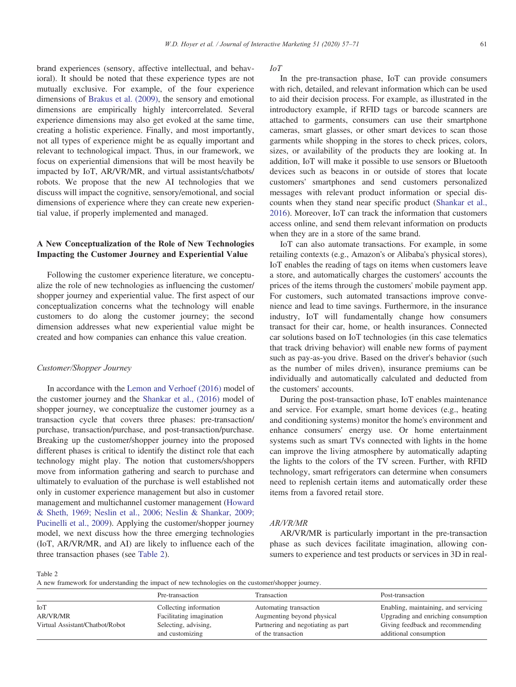brand experiences (sensory, affective intellectual, and behavioral). It should be noted that these experience types are not mutually exclusive. For example, of the four experience dimensions of Brakus et al. (2009), the sensory and emotional dimensions are empirically highly intercorrelated. Several experience dimensions may also get evoked at the same time, creating a holistic experience. Finally, and most importantly, not all types of experience might be as equally important and relevant to technological impact. Thus, in our framework, we focus on experiential dimensions that will be most heavily be impacted by IoT, AR/VR/MR, and virtual assistants/chatbots/ robots. We propose that the new AI technologies that we discuss will impact the cognitive, sensory/emotional, and social dimensions of experience where they can create new experiential value, if properly implemented and managed.

# A New Conceptualization of the Role of New Technologies Impacting the Customer Journey and Experiential Value

Following the customer experience literature, we conceptualize the role of new technologies as influencing the customer/ shopper journey and experiential value. The first aspect of our conceptualization concerns what the technology will enable customers to do along the customer journey; the second dimension addresses what new experiential value might be created and how companies can enhance this value creation.

#### Customer/Shopper Journey

In accordance with the Lemon and Verhoef (2016) model of the customer journey and the Shankar et al., (2016) model of shopper journey, we conceptualize the customer journey as a transaction cycle that covers three phases: pre-transaction/ purchase, transaction/purchase, and post-transaction/purchase. Breaking up the customer/shopper journey into the proposed different phases is critical to identify the distinct role that each technology might play. The notion that customers/shoppers move from information gathering and search to purchase and ultimately to evaluation of the purchase is well established not only in customer experience management but also in customer management and multichannel customer management (Howard & Sheth, 1969; Neslin et al., 2006; Neslin & Shankar, 2009; Pucinelli et al., 2009). Applying the customer/shopper journey model, we next discuss how the three emerging technologies (IoT, AR/VR/MR, and AI) are likely to influence each of the three transaction phases (see Table 2).

#### IoT

In the pre-transaction phase, IoT can provide consumers with rich, detailed, and relevant information which can be used to aid their decision process. For example, as illustrated in the introductory example, if RFID tags or barcode scanners are attached to garments, consumers can use their smartphone cameras, smart glasses, or other smart devices to scan those garments while shopping in the stores to check prices, colors, sizes, or availability of the products they are looking at. In addition, IoT will make it possible to use sensors or Bluetooth devices such as beacons in or outside of stores that locate customers' smartphones and send customers personalized messages with relevant product information or special discounts when they stand near specific product (Shankar et al., 2016). Moreover, IoT can track the information that customers access online, and send them relevant information on products when they are in a store of the same brand.

IoT can also automate transactions. For example, in some retailing contexts (e.g., Amazon's or Alibaba's physical stores), IoT enables the reading of tags on items when customers leave a store, and automatically charges the customers' accounts the prices of the items through the customers' mobile payment app. For customers, such automated transactions improve convenience and lead to time savings. Furthermore, in the insurance industry, IoT will fundamentally change how consumers transact for their car, home, or health insurances. Connected car solutions based on IoT technologies (in this case telematics that track driving behavior) will enable new forms of payment such as pay-as-you drive. Based on the driver's behavior (such as the number of miles driven), insurance premiums can be individually and automatically calculated and deducted from the customers' accounts.

During the post-transaction phase, IoT enables maintenance and service. For example, smart home devices (e.g., heating and conditioning systems) monitor the home's environment and enhance consumers' energy use. Or home entertainment systems such as smart TVs connected with lights in the home can improve the living atmosphere by automatically adapting the lights to the colors of the TV screen. Further, with RFID technology, smart refrigerators can determine when consumers need to replenish certain items and automatically order these items from a favored retail store.

## AR/VR/MR

AR/VR/MR is particularly important in the pre-transaction phase as such devices facilitate imagination, allowing consumers to experience and test products or services in 3D in real-

Table 2

A new framework for understanding the impact of new technologies on the customer/shopper journey.

|                                 | Pre-transaction          | Transaction                        | Post-transaction                     |
|---------------------------------|--------------------------|------------------------------------|--------------------------------------|
| <b>ToT</b>                      | Collecting information   | Automating transaction             | Enabling, maintaining, and servicing |
| AR/VR/MR                        | Facilitating imagination | Augmenting beyond physical         | Upgrading and enriching consumption  |
| Virtual Assistant/Chatbot/Robot | Selecting, advising,     | Partnering and negotiating as part | Giving feedback and recommending     |
|                                 | and customizing          | of the transaction                 | additional consumption               |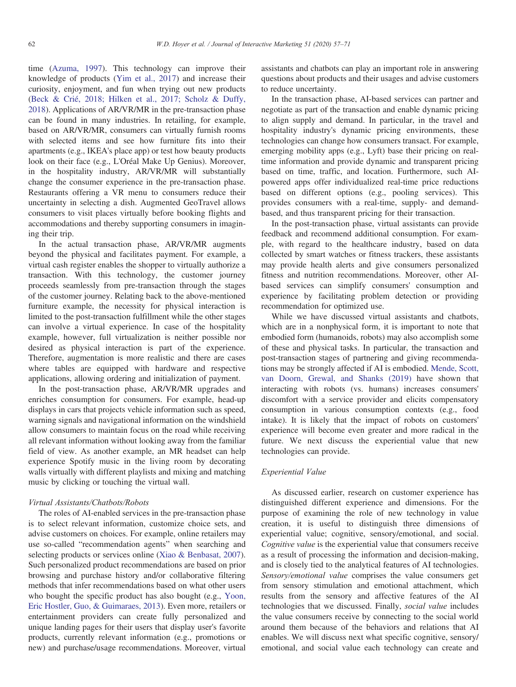time (Azuma, 1997). This technology can improve their knowledge of products (Yim et al., 2017) and increase their curiosity, enjoyment, and fun when trying out new products (Beck & Crié, 2018; Hilken et al., 2017; Scholz & Duffy, 2018). Applications of AR/VR/MR in the pre-transaction phase can be found in many industries. In retailing, for example, based on AR/VR/MR, consumers can virtually furnish rooms with selected items and see how furniture fits into their apartments (e.g., IKEA's place app) or test how beauty products look on their face (e.g., L'Oréal Make Up Genius). Moreover, in the hospitality industry, AR/VR/MR will substantially change the consumer experience in the pre-transaction phase. Restaurants offering a VR menu to consumers reduce their uncertainty in selecting a dish. Augmented GeoTravel allows consumers to visit places virtually before booking flights and accommodations and thereby supporting consumers in imagining their trip.

In the actual transaction phase, AR/VR/MR augments beyond the physical and facilitates payment. For example, a virtual cash register enables the shopper to virtually authorize a transaction. With this technology, the customer journey proceeds seamlessly from pre-transaction through the stages of the customer journey. Relating back to the above-mentioned furniture example, the necessity for physical interaction is limited to the post-transaction fulfillment while the other stages can involve a virtual experience. In case of the hospitality example, however, full virtualization is neither possible nor desired as physical interaction is part of the experience. Therefore, augmentation is more realistic and there are cases where tables are equipped with hardware and respective applications, allowing ordering and initialization of payment.

In the post-transaction phase, AR/VR/MR upgrades and enriches consumption for consumers. For example, head-up displays in cars that projects vehicle information such as speed, warning signals and navigational information on the windshield allow consumers to maintain focus on the road while receiving all relevant information without looking away from the familiar field of view. As another example, an MR headset can help experience Spotify music in the living room by decorating walls virtually with different playlists and mixing and matching music by clicking or touching the virtual wall.

# Virtual Assistants/Chatbots/Robots

The roles of AI-enabled services in the pre-transaction phase is to select relevant information, customize choice sets, and advise customers on choices. For example, online retailers may use so-called "recommendation agents" when searching and selecting products or services online (Xiao & Benbasat, 2007). Such personalized product recommendations are based on prior browsing and purchase history and/or collaborative filtering methods that infer recommendations based on what other users who bought the specific product has also bought (e.g., Yoon, Eric Hostler, Guo, & Guimaraes, 2013). Even more, retailers or entertainment providers can create fully personalized and unique landing pages for their users that display user's favorite products, currently relevant information (e.g., promotions or new) and purchase/usage recommendations. Moreover, virtual assistants and chatbots can play an important role in answering questions about products and their usages and advise customers to reduce uncertainty.

In the transaction phase, AI-based services can partner and negotiate as part of the transaction and enable dynamic pricing to align supply and demand. In particular, in the travel and hospitality industry's dynamic pricing environments, these technologies can change how consumers transact. For example, emerging mobility apps (e.g., Lyft) base their pricing on realtime information and provide dynamic and transparent pricing based on time, traffic, and location. Furthermore, such AIpowered apps offer individualized real-time price reductions based on different options (e.g., pooling services). This provides consumers with a real-time, supply- and demandbased, and thus transparent pricing for their transaction.

In the post-transaction phase, virtual assistants can provide feedback and recommend additional consumption. For example, with regard to the healthcare industry, based on data collected by smart watches or fitness trackers, these assistants may provide health alerts and give consumers personalized fitness and nutrition recommendations. Moreover, other AIbased services can simplify consumers' consumption and experience by facilitating problem detection or providing recommendation for optimized use.

While we have discussed virtual assistants and chatbots, which are in a nonphysical form, it is important to note that embodied form (humanoids, robots) may also accomplish some of these and physical tasks. In particular, the transaction and post-transaction stages of partnering and giving recommendations may be strongly affected if AI is embodied. Mende, Scott, van Doorn, Grewal, and Shanks (2019) have shown that interacting with robots (vs. humans) increases consumers' discomfort with a service provider and elicits compensatory consumption in various consumption contexts (e.g., food intake). It is likely that the impact of robots on customers' experience will become even greater and more radical in the future. We next discuss the experiential value that new technologies can provide.

## Experiential Value

As discussed earlier, research on customer experience has distinguished different experience and dimensions. For the purpose of examining the role of new technology in value creation, it is useful to distinguish three dimensions of experiential value; cognitive, sensory/emotional, and social. Cognitive value is the experiential value that consumers receive as a result of processing the information and decision-making, and is closely tied to the analytical features of AI technologies. Sensory/emotional value comprises the value consumers get from sensory stimulation and emotional attachment, which results from the sensory and affective features of the AI technologies that we discussed. Finally, social value includes the value consumers receive by connecting to the social world around them because of the behaviors and relations that AI enables. We will discuss next what specific cognitive, sensory/ emotional, and social value each technology can create and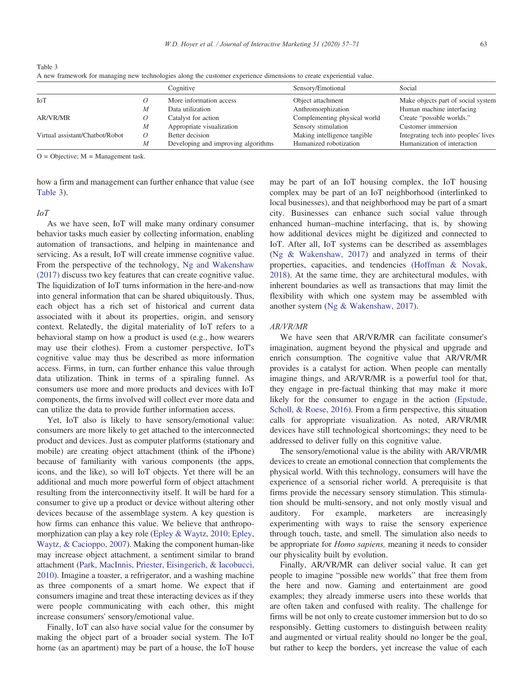$Q =$  Objective:  $M =$  Management task.

how a firm and management can further enhance that value (see Table 3).

#### IoT

As we have seen, IoT will make many ordinary consumer behavior tasks much easier by collecting information, enabling automation of transactions, and helping in maintenance and servicing. As a result, IoT will create immense cognitive value. From the perspective of the technology, Ng and Wakenshaw (2017) discuss two key features that can create cognitive value. The liquidization of IoT turns information in the here-and-now into general information that can be shared ubiquitously. Thus, each object has a rich set of historical and current data associated with it about its properties, origin, and sensory context. Relatedly, the digital materiality of IoT refers to a behavioral stamp on how a product is used (e.g., how wearers may use their clothes). From a customer perspective, IoT's cognitive value may thus be described as more information access. Firms, in turn, can further enhance this value through data utilization. Think in terms of a spiraling funnel. As consumers use more and more products and devices with IoT components, the firms involved will collect ever more data and can utilize the data to provide further information access.

Yet, IoT also is likely to have sensory/emotional value: consumers are more likely to get attached to the interconnected product and devices. Just as computer platforms (stationary and mobile) are creating object attachment (think of the iPhone) because of familiarity with various components (the apps, icons, and the like), so will IoT objects. Yet there will be an additional and much more powerful form of object attachment resulting from the interconnectivity itself. It will be hard for a consumer to give up a product or device without altering other devices because of the assemblage system. A key question is how firms can enhance this value. We believe that anthropomorphization can play a key role (Epley & Waytz, 2010; Epley, Waytz, & Cacioppo, 2007). Making the component human-like may increase object attachment, a sentiment similar to brand attachment (Park, MacInnis, Priester, Eisingerich, & Iacobucci, 2010). Imagine a toaster, a refrigerator, and a washing machine as three components of a smart home. We expect that if consumers imagine and treat these interacting devices as if they were people communicating with each other, this might increase consumers' sensory/emotional value.

Finally, IoT can also have social value for the consumer by making the object part of a broader social system. The IoT home (as an apartment) may be part of a house, the IoT house may be part of an IoT housing complex, the IoT housing complex may be part of an IoT neighborhood (interlinked to local businesses), and that neighborhood may be part of a smart city. Businesses can enhance such social value through enhanced human–machine interfacing, that is, by showing how additional devices might be digitized and connected to IoT. After all, IoT systems can be described as assemblages (Ng & Wakenshaw, 2017) and analyzed in terms of their properties, capacities, and tendencies (Hoffman & Novak, 2018). At the same time, they are architectural modules, with inherent boundaries as well as transactions that may limit the flexibility with which one system may be assembled with another system (Ng & Wakenshaw, 2017).

#### AR/VR/MR

We have seen that AR/VR/MR can facilitate consumer's imagination, augment beyond the physical and upgrade and enrich consumption. The cognitive value that AR/VR/MR provides is a catalyst for action. When people can mentally imagine things, and AR/VR/MR is a powerful tool for that, they engage in pre-factual thinking that may make it more likely for the consumer to engage in the action (Epstude, Scholl, & Roese, 2016). From a firm perspective, this situation calls for appropriate visualization. As noted, AR/VR/MR devices have still technological shortcomings; they need to be addressed to deliver fully on this cognitive value.

The sensory/emotional value is the ability with AR/VR/MR devices to create an emotional connection that complements the physical world. With this technology, consumers will have the experience of a sensorial richer world. A prerequisite is that firms provide the necessary sensory stimulation. This stimulation should be multi-sensory, and not only mostly visual and auditory. For example, marketers are increasingly experimenting with ways to raise the sensory experience through touch, taste, and smell. The simulation also needs to be appropriate for *Homo sapiens*, meaning it needs to consider our physicality built by evolution.

Finally, AR/VR/MR can deliver social value. It can get people to imagine "possible new worlds" that free them from the here and now. Gaming and entertainment are good examples; they already immerse users into these worlds that are often taken and confused with reality. The challenge for firms will be not only to create customer immersion but to do so responsibly. Getting customers to distinguish between reality and augmented or virtual reality should no longer be the goal, but rather to keep the borders, yet increase the value of each

|                                 |   | Cognitive                           | Sensory/Emotional            | Social                               |
|---------------------------------|---|-------------------------------------|------------------------------|--------------------------------------|
| IoT                             |   | More information access             | Object attachment            | Make objects part of social system   |
|                                 | М | Data utilization                    | Anthromorphization           | Human machine interfacing            |
| AR/VR/MR                        |   | Catalyst for action                 | Complementing physical world | Create "possible worlds."            |
|                                 | М | Appropriate visualization           | Sensory stimulation          | Customer immersion                   |
| Virtual assistant/Chatbot/Robot |   | Better decision                     | Making intelligence tangible | Integrating tech into peoples' lives |
|                                 |   | Developing and improving algorithms | Humanized robotization       | Humanization of interaction          |

Table 3

A new framework for managing new technologies along the customer experience dimensions to create experiential value.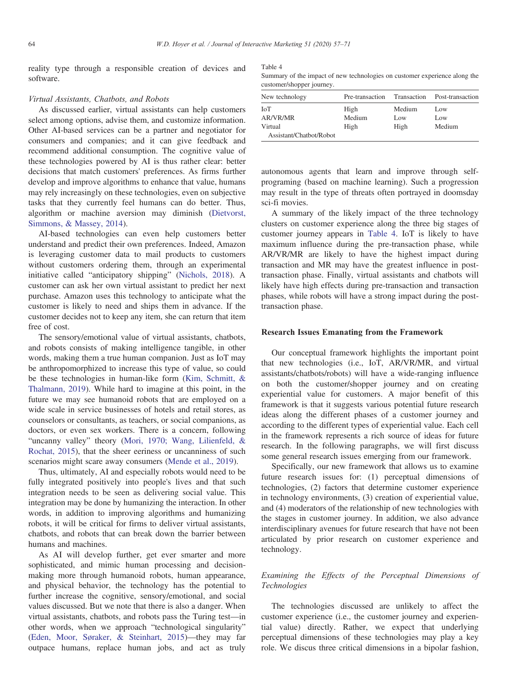reality type through a responsible creation of devices and software.

## Virtual Assistants, Chatbots, and Robots

As discussed earlier, virtual assistants can help customers select among options, advise them, and customize information. Other AI-based services can be a partner and negotiator for consumers and companies; and it can give feedback and recommend additional consumption. The cognitive value of these technologies powered by AI is thus rather clear: better decisions that match customers' preferences. As firms further develop and improve algorithms to enhance that value, humans may rely increasingly on these technologies, even on subjective tasks that they currently feel humans can do better. Thus, algorithm or machine aversion may diminish (Dietvorst, Simmons, & Massey, 2014).

AI-based technologies can even help customers better understand and predict their own preferences. Indeed, Amazon is leveraging customer data to mail products to customers without customers ordering them, through an experimental initiative called "anticipatory shipping" (Nichols, 2018). A customer can ask her own virtual assistant to predict her next purchase. Amazon uses this technology to anticipate what the customer is likely to need and ships them in advance. If the customer decides not to keep any item, she can return that item free of cost.

The sensory/emotional value of virtual assistants, chatbots, and robots consists of making intelligence tangible, in other words, making them a true human companion. Just as IoT may be anthropomorphized to increase this type of value, so could be these technologies in human-like form (Kim, Schmitt, & Thalmann, 2019). While hard to imagine at this point, in the future we may see humanoid robots that are employed on a wide scale in service businesses of hotels and retail stores, as counselors or consultants, as teachers, or social companions, as doctors, or even sex workers. There is a concern, following "uncanny valley" theory (Mori, 1970; Wang, Lilienfeld, & Rochat, 2015), that the sheer eeriness or uncanniness of such scenarios might scare away consumers (Mende et al., 2019).

Thus, ultimately, AI and especially robots would need to be fully integrated positively into people's lives and that such integration needs to be seen as delivering social value. This integration may be done by humanizing the interaction. In other words, in addition to improving algorithms and humanizing robots, it will be critical for firms to deliver virtual assistants, chatbots, and robots that can break down the barrier between humans and machines.

As AI will develop further, get ever smarter and more sophisticated, and mimic human processing and decisionmaking more through humanoid robots, human appearance, and physical behavior, the technology has the potential to further increase the cognitive, sensory/emotional, and social values discussed. But we note that there is also a danger. When virtual assistants, chatbots, and robots pass the Turing test—in other words, when we approach "technological singularity" (Eden, Moor, Søraker, & Steinhart, 2015)—they may far outpace humans, replace human jobs, and act as truly Table 4

Summary of the impact of new technologies on customer experience along the customer/shopper journey.

| New technology          | Pre-transaction | Transaction | Post-transaction |
|-------------------------|-----------------|-------------|------------------|
| ЮT                      | High            | Medium      | Low              |
| <b>AR/VR/MR</b>         | Medium          | Low         | Low              |
| Virtual                 | High            | High        | Medium           |
| Assistant/Chatbot/Robot |                 |             |                  |

autonomous agents that learn and improve through selfprograming (based on machine learning). Such a progression may result in the type of threats often portrayed in doomsday sci-fi movies.

A summary of the likely impact of the three technology clusters on customer experience along the three big stages of customer journey appears in Table 4. IoT is likely to have maximum influence during the pre-transaction phase, while AR/VR/MR are likely to have the highest impact during transaction and MR may have the greatest influence in posttransaction phase. Finally, virtual assistants and chatbots will likely have high effects during pre-transaction and transaction phases, while robots will have a strong impact during the posttransaction phase.

#### Research Issues Emanating from the Framework

Our conceptual framework highlights the important point that new technologies (i.e., IoT, AR/VR/MR, and virtual assistants/chatbots/robots) will have a wide-ranging influence on both the customer/shopper journey and on creating experiential value for customers. A major benefit of this framework is that it suggests various potential future research ideas along the different phases of a customer journey and according to the different types of experiential value. Each cell in the framework represents a rich source of ideas for future research. In the following paragraphs, we will first discuss some general research issues emerging from our framework.

Specifically, our new framework that allows us to examine future research issues for: (1) perceptual dimensions of technologies, (2) factors that determine customer experience in technology environments, (3) creation of experiential value, and (4) moderators of the relationship of new technologies with the stages in customer journey. In addition, we also advance interdisciplinary avenues for future research that have not been articulated by prior research on customer experience and technology.

# Examining the Effects of the Perceptual Dimensions of Technologies

The technologies discussed are unlikely to affect the customer experience (i.e., the customer journey and experiential value) directly. Rather, we expect that underlying perceptual dimensions of these technologies may play a key role. We discus three critical dimensions in a bipolar fashion,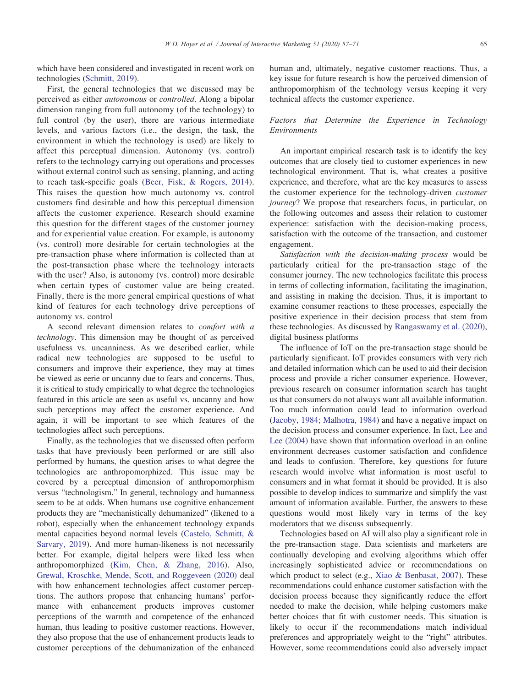which have been considered and investigated in recent work on technologies (Schmitt, 2019).

First, the general technologies that we discussed may be perceived as either autonomous or controlled. Along a bipolar dimension ranging from full autonomy (of the technology) to full control (by the user), there are various intermediate levels, and various factors (i.e., the design, the task, the environment in which the technology is used) are likely to affect this perceptual dimension. Autonomy (vs. control) refers to the technology carrying out operations and processes without external control such as sensing, planning, and acting to reach task-specific goals (Beer, Fisk, & Rogers, 2014). This raises the question how much autonomy vs. control customers find desirable and how this perceptual dimension affects the customer experience. Research should examine this question for the different stages of the customer journey and for experiential value creation. For example, is autonomy (vs. control) more desirable for certain technologies at the pre-transaction phase where information is collected than at the post-transaction phase where the technology interacts with the user? Also, is autonomy (vs. control) more desirable when certain types of customer value are being created. Finally, there is the more general empirical questions of what kind of features for each technology drive perceptions of autonomy vs. control

A second relevant dimension relates to comfort with a technology. This dimension may be thought of as perceived usefulness vs. uncanniness. As we described earlier, while radical new technologies are supposed to be useful to consumers and improve their experience, they may at times be viewed as eerie or uncanny due to fears and concerns. Thus, it is critical to study empirically to what degree the technologies featured in this article are seen as useful vs. uncanny and how such perceptions may affect the customer experience. And again, it will be important to see which features of the technologies affect such perceptions.

Finally, as the technologies that we discussed often perform tasks that have previously been performed or are still also performed by humans, the question arises to what degree the technologies are anthropomorphized. This issue may be covered by a perceptual dimension of anthropomorphism versus "technologism." In general, technology and humanness seem to be at odds. When humans use cognitive enhancement products they are "mechanistically dehumanized" (likened to a robot), especially when the enhancement technology expands mental capacities beyond normal levels (Castelo, Schmitt, & Sarvary, 2019). And more human-likeness is not necessarily better. For example, digital helpers were liked less when anthropomorphized (Kim, Chen, & Zhang, 2016). Also, Grewal, Kroschke, Mende, Scott, and Roggeveen (2020) deal with how enhancement technologies affect customer perceptions. The authors propose that enhancing humans' performance with enhancement products improves customer perceptions of the warmth and competence of the enhanced human, thus leading to positive customer reactions. However, they also propose that the use of enhancement products leads to customer perceptions of the dehumanization of the enhanced

human and, ultimately, negative customer reactions. Thus, a key issue for future research is how the perceived dimension of anthropomorphism of the technology versus keeping it very technical affects the customer experience.

## Factors that Determine the Experience in Technology Environments

An important empirical research task is to identify the key outcomes that are closely tied to customer experiences in new technological environment. That is, what creates a positive experience, and therefore, what are the key measures to assess the customer experience for the technology-driven customer journey? We propose that researchers focus, in particular, on the following outcomes and assess their relation to customer experience: satisfaction with the decision-making process, satisfaction with the outcome of the transaction, and customer engagement.

Satisfaction with the decision-making process would be particularly critical for the pre-transaction stage of the consumer journey. The new technologies facilitate this process in terms of collecting information, facilitating the imagination, and assisting in making the decision. Thus, it is important to examine consumer reactions to these processes, especially the positive experience in their decision process that stem from these technologies. As discussed by Rangaswamy et al. (2020), digital business platforms

The influence of IoT on the pre-transaction stage should be particularly significant. IoT provides consumers with very rich and detailed information which can be used to aid their decision process and provide a richer consumer experience. However, previous research on consumer information search has taught us that consumers do not always want all available information. Too much information could lead to information overload (Jacoby, 1984; Malhotra, 1984) and have a negative impact on the decision process and consumer experience. In fact, Lee and Lee (2004) have shown that information overload in an online environment decreases customer satisfaction and confidence and leads to confusion. Therefore, key questions for future research would involve what information is most useful to consumers and in what format it should be provided. It is also possible to develop indices to summarize and simplify the vast amount of information available. Further, the answers to these questions would most likely vary in terms of the key moderators that we discuss subsequently.

Technologies based on AI will also play a significant role in the pre-transaction stage. Data scientists and marketers are continually developing and evolving algorithms which offer increasingly sophisticated advice or recommendations on which product to select (e.g., Xiao & Benbasat, 2007). These recommendations could enhance customer satisfaction with the decision process because they significantly reduce the effort needed to make the decision, while helping customers make better choices that fit with customer needs. This situation is likely to occur if the recommendations match individual preferences and appropriately weight to the "right" attributes. However, some recommendations could also adversely impact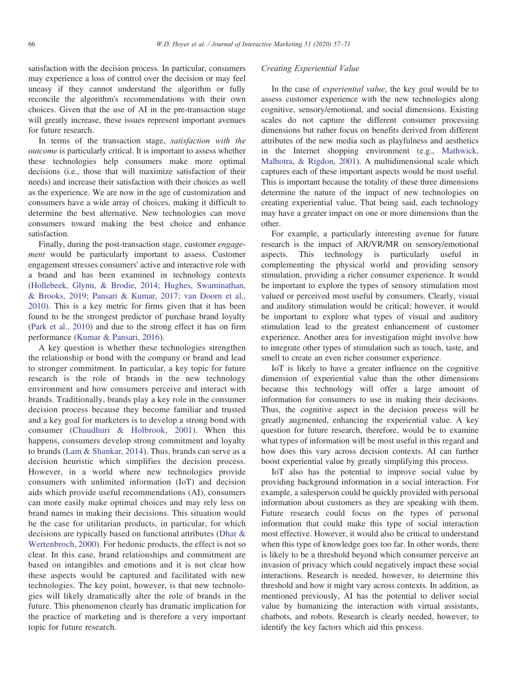satisfaction with the decision process. In particular, consumers may experience a loss of control over the decision or may feel uneasy if they cannot understand the algorithm or fully reconcile the algorithm's recommendations with their own choices. Given that the use of AI in the pre-transaction stage will greatly increase, these issues represent important avenues for future research.

In terms of the transaction stage, satisfaction with the outcome is particularly critical. It is important to assess whether these technologies help consumers make more optimal decisions (i.e., those that will maximize satisfaction of their needs) and increase their satisfaction with their choices as well as the experience. We are now in the age of customization and consumers have a wide array of choices, making it difficult to determine the best alternative. New technologies can move consumers toward making the best choice and enhance satisfaction.

Finally, during the post-transaction stage, customer engagement would be particularly important to assess. Customer engagement stresses consumers' active and interactive role with a brand and has been examined in technology contexts (Hollebeek, Glynn, & Brodie, 2014; Hughes, Swaminathan, & Brooks, 2019; Pansari & Kumar, 2017; van Doorn et al., 2010). This is a key metric for firms given that it has been found to be the strongest predictor of purchase brand loyalty (Park et al., 2010) and due to the strong effect it has on firm performance (Kumar & Pansari, 2016).

A key question is whether these technologies strengthen the relationship or bond with the company or brand and lead to stronger commitment. In particular, a key topic for future research is the role of brands in the new technology environment and how consumers perceive and interact with brands. Traditionally, brands play a key role in the consumer decision process because they become familiar and trusted and a key goal for marketers is to develop a strong bond with consumer (Chaudhuri & Holbrook, 2001). When this happens, consumers develop strong commitment and loyalty to brands (Lam & Shankar, 2014). Thus, brands can serve as a decision heuristic which simplifies the decision process. However, in a world where new technologies provide consumers with unlimited information (IoT) and decision aids which provide useful recommendations (AI), consumers can more easily make optimal choices and may rely less on brand names in making their decisions. This situation would be the case for utilitarian products, in particular, for which decisions are typically based on functional attributes (Dhar & Wertenbroch, 2000). For hedonic products, the effect is not so clear. In this case, brand relationships and commitment are based on intangibles and emotions and it is not clear how these aspects would be captured and facilitated with new technologies. The key point, however, is that new technologies will likely dramatically alter the role of brands in the future. This phenomenon clearly has dramatic implication for the practice of marketing and is therefore a very important topic for future research.

## Creating Experiential Value

In the case of experiential value, the key goal would be to assess customer experience with the new technologies along cognitive, sensory/emotional, and social dimensions. Existing scales do not capture the different consumer processing dimensions but rather focus on benefits derived from different attributes of the new media such as playfulness and aesthetics in the Internet shopping environment (e.g., Mathwick, Malhotra, & Rigdon, 2001). A multidimensional scale which captures each of these important aspects would be most useful. This is important because the totality of these three dimensions determine the nature of the impact of new technologies on creating experiential value. That being said, each technology may have a greater impact on one or more dimensions than the other.

For example, a particularly interesting avenue for future research is the impact of AR/VR/MR on sensory/emotional aspects. This technology is particularly useful in complementing the physical world and providing sensory stimulation, providing a richer consumer experience. It would be important to explore the types of sensory stimulation most valued or perceived most useful by consumers. Clearly, visual and auditory stimulation would be critical; however, it would be important to explore what types of visual and auditory stimulation lead to the greatest enhancement of customer experience. Another area for investigation might involve how to integrate other types of stimulation such as touch, taste, and smell to create an even richer consumer experience.

IoT is likely to have a greater influence on the cognitive dimension of experiential value than the other dimensions because this technology will offer a large amount of information for consumers to use in making their decisions. Thus, the cognitive aspect in the decision process will be greatly augmented, enhancing the experiential value. A key question for future research, therefore, would be to examine what types of information will be most useful in this regard and how does this vary across decision contexts. AI can further boost experiential value by greatly simplifying this process.

IoT also has the potential to improve social value by providing background information in a social interaction. For example, a salesperson could be quickly provided with personal information about customers as they are speaking with them. Future research could focus on the types of personal information that could make this type of social interaction most effective. However, it would also be critical to understand when this type of knowledge goes too far. In other words, there is likely to be a threshold beyond which consumer perceive an invasion of privacy which could negatively impact these social interactions. Research is needed, however, to determine this threshold and how it might vary across contexts. In addition, as mentioned previously, AI has the potential to deliver social value by humanizing the interaction with virtual assistants, chatbots, and robots. Research is clearly needed, however, to identify the key factors which aid this process.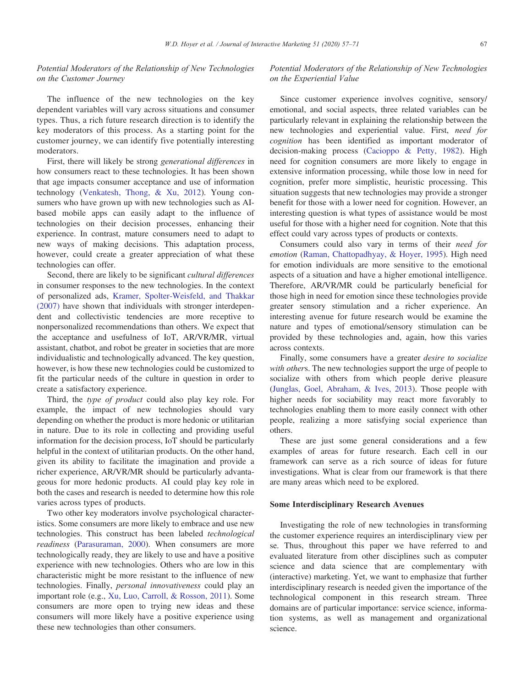# Potential Moderators of the Relationship of New Technologies on the Customer Journey

The influence of the new technologies on the key dependent variables will vary across situations and consumer types. Thus, a rich future research direction is to identify the key moderators of this process. As a starting point for the customer journey, we can identify five potentially interesting moderators.

First, there will likely be strong generational differences in how consumers react to these technologies. It has been shown that age impacts consumer acceptance and use of information technology (Venkatesh, Thong, & Xu, 2012). Young consumers who have grown up with new technologies such as AIbased mobile apps can easily adapt to the influence of technologies on their decision processes, enhancing their experience. In contrast, mature consumers need to adapt to new ways of making decisions. This adaptation process, however, could create a greater appreciation of what these technologies can offer.

Second, there are likely to be significant *cultural differences* in consumer responses to the new technologies. In the context of personalized ads, Kramer, Spolter-Weisfeld, and Thakkar (2007) have shown that individuals with stronger interdependent and collectivistic tendencies are more receptive to nonpersonalized recommendations than others. We expect that the acceptance and usefulness of IoT, AR/VR/MR, virtual assistant, chatbot, and robot be greater in societies that are more individualistic and technologically advanced. The key question, however, is how these new technologies could be customized to fit the particular needs of the culture in question in order to create a satisfactory experience.

Third, the type of product could also play key role. For example, the impact of new technologies should vary depending on whether the product is more hedonic or utilitarian in nature. Due to its role in collecting and providing useful information for the decision process, IoT should be particularly helpful in the context of utilitarian products. On the other hand, given its ability to facilitate the imagination and provide a richer experience, AR/VR/MR should be particularly advantageous for more hedonic products. AI could play key role in both the cases and research is needed to determine how this role varies across types of products.

Two other key moderators involve psychological characteristics. Some consumers are more likely to embrace and use new technologies. This construct has been labeled technological readiness (Parasuraman, 2000). When consumers are more technologically ready, they are likely to use and have a positive experience with new technologies. Others who are low in this characteristic might be more resistant to the influence of new technologies. Finally, personal innovativeness could play an important role (e.g., Xu, Luo, Carroll, & Rosson, 2011). Some consumers are more open to trying new ideas and these consumers will more likely have a positive experience using these new technologies than other consumers.

# Potential Moderators of the Relationship of New Technologies on the Experiential Value

Since customer experience involves cognitive, sensory/ emotional, and social aspects, three related variables can be particularly relevant in explaining the relationship between the new technologies and experiential value. First, need for cognition has been identified as important moderator of decision-making process (Cacioppo & Petty, 1982). High need for cognition consumers are more likely to engage in extensive information processing, while those low in need for cognition, prefer more simplistic, heuristic processing. This situation suggests that new technologies may provide a stronger benefit for those with a lower need for cognition. However, an interesting question is what types of assistance would be most useful for those with a higher need for cognition. Note that this effect could vary across types of products or contexts.

Consumers could also vary in terms of their need for emotion (Raman, Chattopadhyay, & Hoyer, 1995). High need for emotion individuals are more sensitive to the emotional aspects of a situation and have a higher emotional intelligence. Therefore, AR/VR/MR could be particularly beneficial for those high in need for emotion since these technologies provide greater sensory stimulation and a richer experience. An interesting avenue for future research would be examine the nature and types of emotional/sensory stimulation can be provided by these technologies and, again, how this varies across contexts.

Finally, some consumers have a greater desire to socialize with others. The new technologies support the urge of people to socialize with others from which people derive pleasure (Junglas, Goel, Abraham, & Ives, 2013). Those people with higher needs for sociability may react more favorably to technologies enabling them to more easily connect with other people, realizing a more satisfying social experience than others.

These are just some general considerations and a few examples of areas for future research. Each cell in our framework can serve as a rich source of ideas for future investigations. What is clear from our framework is that there are many areas which need to be explored.

## Some Interdisciplinary Research Avenues

Investigating the role of new technologies in transforming the customer experience requires an interdisciplinary view per se. Thus, throughout this paper we have referred to and evaluated literature from other disciplines such as computer science and data science that are complementary with (interactive) marketing. Yet, we want to emphasize that further interdisciplinary research is needed given the importance of the technological component in this research stream. Three domains are of particular importance: service science, information systems, as well as management and organizational science.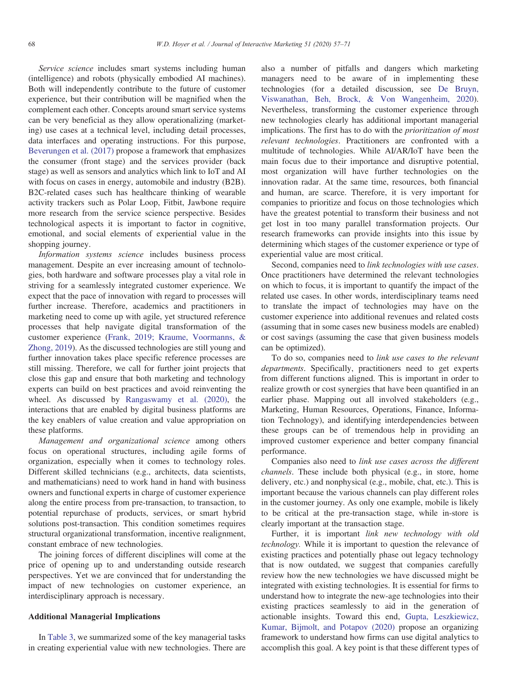Service science includes smart systems including human (intelligence) and robots (physically embodied AI machines). Both will independently contribute to the future of customer experience, but their contribution will be magnified when the complement each other. Concepts around smart service systems can be very beneficial as they allow operationalizing (marketing) use cases at a technical level, including detail processes, data interfaces and operating instructions. For this purpose, Beverungen et al. (2017) propose a framework that emphasizes the consumer (front stage) and the services provider (back stage) as well as sensors and analytics which link to IoT and AI with focus on cases in energy, automobile and industry (B2B). B2C-related cases such has healthcare thinking of wearable activity trackers such as Polar Loop, Fitbit, Jawbone require more research from the service science perspective. Besides technological aspects it is important to factor in cognitive, emotional, and social elements of experiential value in the shopping journey.

Information systems science includes business process management. Despite an ever increasing amount of technologies, both hardware and software processes play a vital role in striving for a seamlessly integrated customer experience. We expect that the pace of innovation with regard to processes will further increase. Therefore, academics and practitioners in marketing need to come up with agile, yet structured reference processes that help navigate digital transformation of the customer experience (Frank, 2019; Kraume, Voormanns, & Zhong, 2019). As the discussed technologies are still young and further innovation takes place specific reference processes are still missing. Therefore, we call for further joint projects that close this gap and ensure that both marketing and technology experts can build on best practices and avoid reinventing the wheel. As discussed by Rangaswamy et al. (2020), the interactions that are enabled by digital business platforms are the key enablers of value creation and value appropriation on these platforms.

Management and organizational science among others focus on operational structures, including agile forms of organization, especially when it comes to technology roles. Different skilled technicians (e.g., architects, data scientists, and mathematicians) need to work hand in hand with business owners and functional experts in charge of customer experience along the entire process from pre-transaction, to transaction, to potential repurchase of products, services, or smart hybrid solutions post-transaction. This condition sometimes requires structural organizational transformation, incentive realignment, constant embrace of new technologies.

The joining forces of different disciplines will come at the price of opening up to and understanding outside research perspectives. Yet we are convinced that for understanding the impact of new technologies on customer experience, an interdisciplinary approach is necessary.

#### Additional Managerial Implications

In Table 3, we summarized some of the key managerial tasks in creating experiential value with new technologies. There are also a number of pitfalls and dangers which marketing managers need to be aware of in implementing these technologies (for a detailed discussion, see De Bruyn, Viswanathan, Beh, Brock, & Von Wangenheim, 2020). Nevertheless, transforming the customer experience through new technologies clearly has additional important managerial implications. The first has to do with the prioritization of most relevant technologies. Practitioners are confronted with a multitude of technologies. While AI/AR/IoT have been the main focus due to their importance and disruptive potential, most organization will have further technologies on the innovation radar. At the same time, resources, both financial and human, are scarce. Therefore, it is very important for companies to prioritize and focus on those technologies which have the greatest potential to transform their business and not get lost in too many parallel transformation projects. Our research frameworks can provide insights into this issue by determining which stages of the customer experience or type of experiential value are most critical.

Second, companies need to link technologies with use cases. Once practitioners have determined the relevant technologies on which to focus, it is important to quantify the impact of the related use cases. In other words, interdisciplinary teams need to translate the impact of technologies may have on the customer experience into additional revenues and related costs (assuming that in some cases new business models are enabled) or cost savings (assuming the case that given business models can be optimized).

To do so, companies need to link use cases to the relevant departments. Specifically, practitioners need to get experts from different functions aligned. This is important in order to realize growth or cost synergies that have been quantified in an earlier phase. Mapping out all involved stakeholders (e.g., Marketing, Human Resources, Operations, Finance, Information Technology), and identifying interdependencies between these groups can be of tremendous help in providing an improved customer experience and better company financial performance.

Companies also need to link use cases across the different channels. These include both physical (e.g., in store, home delivery, etc.) and nonphysical (e.g., mobile, chat, etc.). This is important because the various channels can play different roles in the customer journey. As only one example, mobile is likely to be critical at the pre-transaction stage, while in-store is clearly important at the transaction stage.

Further, it is important link new technology with old technology. While it is important to question the relevance of existing practices and potentially phase out legacy technology that is now outdated, we suggest that companies carefully review how the new technologies we have discussed might be integrated with existing technologies. It is essential for firms to understand how to integrate the new-age technologies into their existing practices seamlessly to aid in the generation of actionable insights. Toward this end, Gupta, Leszkiewicz, Kumar, Bijmolt, and Potapov (2020) propose an organizing framework to understand how firms can use digital analytics to accomplish this goal. A key point is that these different types of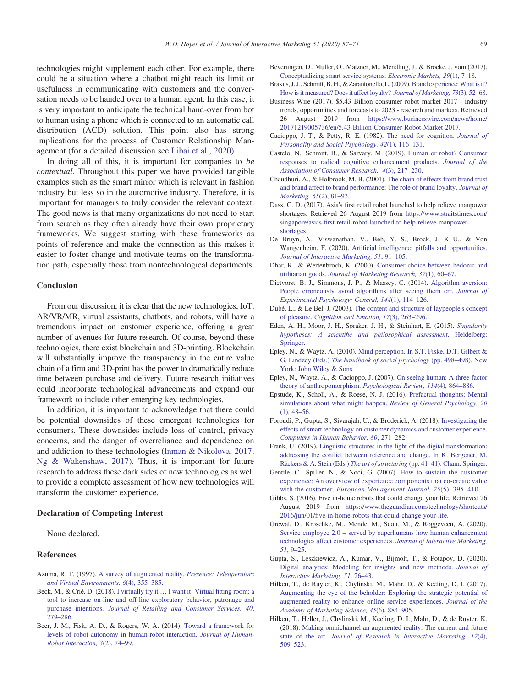technologies might supplement each other. For example, there could be a situation where a chatbot might reach its limit or usefulness in communicating with customers and the conversation needs to be handed over to a human agent. In this case, it is very important to anticipate the technical hand-over from bot to human using a phone which is connected to an automatic call distribution (ACD) solution. This point also has strong implications for the process of Customer Relationship Management (for a detailed discussion see Libai et al., 2020).

In doing all of this, it is important for companies to be contextual. Throughout this paper we have provided tangible examples such as the smart mirror which is relevant in fashion industry but less so in the automotive industry. Therefore, it is important for managers to truly consider the relevant context. The good news is that many organizations do not need to start from scratch as they often already have their own proprietary frameworks. We suggest starting with these frameworks as points of reference and make the connection as this makes it easier to foster change and motivate teams on the transformation path, especially those from nontechnological departments.

## Conclusion

From our discussion, it is clear that the new technologies, IoT, AR/VR/MR, virtual assistants, chatbots, and robots, will have a tremendous impact on customer experience, offering a great number of avenues for future research. Of course, beyond these technologies, there exist blockchain and 3D-printing. Blockchain will substantially improve the transparency in the entire value chain of a firm and 3D-print has the power to dramatically reduce time between purchase and delivery. Future research initiatives could incorporate technological advancements and expand our framework to include other emerging key technologies.

In addition, it is important to acknowledge that there could be potential downsides of these emergent technologies for consumers. These downsides include loss of control, privacy concerns, and the danger of overreliance and dependence on and addiction to these technologies (Inman & Nikolova, 2017; Ng & Wakenshaw, 2017). Thus, it is important for future research to address these dark sides of new technologies as well to provide a complete assessment of how new technologies will transform the customer experience.

#### Declaration of Competing Interest

None declared.

#### References

- Azuma, R. T. (1997). A survey of augmented reality. Presence: Teleoperators and Virtual Environments, 6(4), 355–385.
- Beck, M., & Crié, D. (2018). I virtually try it … I want it! Virtual fitting room: a tool to increase on-line and off-line exploratory behavior, patronage and purchase intentions. Journal of Retailing and Consumer Services, 40, 279–286.
- Beer, J. M., Fisk, A. D., & Rogers, W. A. (2014). Toward a framework for levels of robot autonomy in human-robot interaction. Journal of Human-Robot Interaction, 3(2), 74–99.
- Beverungen, D., Müller, O., Matzner, M., Mendling, J., & Brocke, J. vom (2017). Conceptualizing smart service systems. Electronic Markets, 29(1), 7–18.
- Brakus, J. J., Schmitt, B. H., & Zarantonello, L. (2009). Brand experience: What is it? How is it measured? Does it affect loyalty? Journal of Marketing, 73(3), 52–68.
- Business Wire (2017). \$5.43 Billion consumer robot market 2017 industry trends, opportunities and forecasts to 2023 - research and markets. Retrieved 26 August 2019 from https://www.businesswire.com/news/home/ 20171219005736/en/5.43-Billion-Consumer-Robot-Market-2017.
- Cacioppo, J. T., & Petty, R. E. (1982). The need for cognition. Journal of Personality and Social Psychology, 42(1), 116–131.
- Castelo, N., Schmitt, B., & Sarvary, M. (2019). Human or robot? Consumer responses to radical cognitive enhancement products. Journal of the Association of Consumer Research., 4(3), 217–230.
- Chaudhuri, A., & Holbrook, M. B. (2001). The chain of effects from brand trust and brand affect to brand performance: The role of brand loyalty. Journal of Marketing, 65(2), 81–93.
- Dass, C. D. (2017). Asia's first retail robot launched to help relieve manpower shortages. Retrieved 26 August 2019 from https://www.straitstimes.com/ singapore/asias-first-retail-robot-launched-to-help-relieve-manpowershortages.
- De Bruyn, A., Viswanathan, V., Beh, Y. S., Brock, J. K.-U., & Von Wangenheim, F. (2020). Artificial intelligence: pitfalls and opportunities. Journal of Interactive Marketing, 51, 91–105.
- Dhar, R., & Wertenbroch, K. (2000). Consumer choice between hedonic and utilitarian goods. Journal of Marketing Research, 37(1), 60–67.
- Dietvorst, B. J., Simmons, J. P., & Massey, C. (2014). Algorithm aversion: People erroneously avoid algorithms after seeing them err. Journal of Experimental Psychology: General, 144(1), 114–126.
- Dubé, L., & Le Bel, J. (2003). The content and structure of laypeople's concept of pleasure. Cognition and Emotion, 17(3), 263–296.
- Eden, A. H., Moor, J. H., Søraker, J. H., & Steinhart, E. (2015). Singularity hypotheses: A scientific and philosophical assessment. Heidelberg: Springer.
- Epley, N., & Waytz, A. (2010). Mind perception. In S.T. Fiske, D.T. Gilbert & G. Lindzey (Eds.) The handbook of social psychology (pp. 498–498). New York: John Wiley & Sons.
- Epley, N., Waytz, A., & Cacioppo, J. (2007). On seeing human: A three-factor theory of anthropomorphism. Psychological Review, 114(4), 864–886.
- Epstude, K., Scholl, A., & Roese, N. J. (2016). Prefactual thoughts: Mental simulations about what might happen. Review of General Psychology, 20 (1), 48–56.
- Foroudi, P., Gupta, S., Sivarajah, U., & Broderick, A. (2018). Investigating the effects of smart technology on customer dynamics and customer experience. Computers in Human Behavior, 80, 271–282.
- Frank, U. (2019). Linguistic structures in the light of the digital transformation: addressing the conflict between reference and change. In K. Bergener, M. Räckers & A. Stein (Eds.) The art of structuring (pp. 41–41). Cham: Springer.
- Gentile, C., Spiller, N., & Noci, G. (2007). How to sustain the customer experience: An overview of experience components that co-create value with the customer. European Management Journal, 25(5), 395-410.
- Gibbs, S. (2016). Five in-home robots that could change your life. Retrieved 26 August 2019 from https://www.theguardian.com/technology/shortcuts/ 2016/jun/01/five-in-home-robots-that-could-change-your-life.
- Grewal, D., Kroschke, M., Mende, M., Scott, M., & Roggeveen, A. (2020). Service employee 2.0 – served by superhumans how human enhancement technologies affect customer experiences. Journal of Interactive Marketing, 51, 9–25.
- Gupta, S., Leszkiewicz, A., Kumar, V., Bijmolt, T., & Potapov, D. (2020). Digital analytics: Modeling for insights and new methods. Journal of Interactive Marketing, 51, 26–43.
- Hilken, T., de Ruyter, K., Chylinski, M., Mahr, D., & Keeling, D. I. (2017). Augmenting the eye of the beholder: Exploring the strategic potential of augmented reality to enhance online service experiences. Journal of the Academy of Marketing Science, 45(6), 884–905.
- Hilken, T., Heller, J., Chylinski, M., Keeling, D. I., Mahr, D., & de Ruyter, K. (2018). Making omnichannel an augmented reality: The current and future state of the art. Journal of Research in Interactive Marketing, 12(4), 509–523.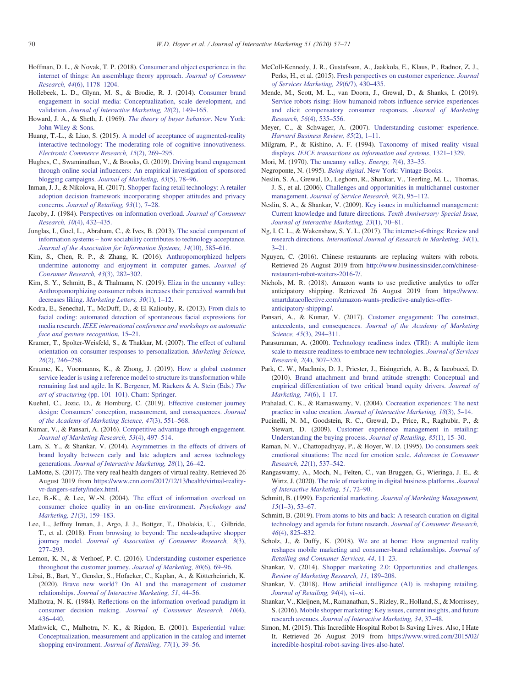- Hoffman, D. L., & Novak, T. P. (2018). Consumer and object experience in the internet of things: An assemblage theory approach. Journal of Consumer Research, 44(6), 1178–1204.
- Hollebeek, L. D., Glynn, M. S., & Brodie, R. J. (2014). Consumer brand engagement in social media: Conceptualization, scale development, and validation. Journal of Interactive Marketing, 28(2), 149–165.
- Howard, J. A., & Sheth, J. (1969). The theory of buyer behavior. New York: John Wiley & Sons.
- Huang, T.-L., & Liao, S. (2015). A model of acceptance of augmented-reality interactive technology: The moderating role of cognitive innovativeness. Electronic Commerce Research, 15(2), 269–295.
- Hughes, C., Swaminathan, V., & Brooks, G. (2019). Driving brand engagement through online social influencers: An empirical investigation of sponsored blogging campaigns. Journal of Marketing, 83(5), 78–96.
- Inman, J. J., & Nikolova, H. (2017). Shopper-facing retail technology: A retailer adoption decision framework incorporating shopper attitudes and privacy concerns. Journal of Retailing, 93(1), 7–28.
- Jacoby, J. (1984). Perspectives on information overload. Journal of Consumer Research, 10(4), 432–435.
- Junglas, I., Goel, L., Abraham, C., & Ives, B. (2013). The social component of information systems – how sociability contributes to technology acceptance. Journal of the Association for Information Systems, 14(10), 585–616.
- Kim, S., Chen, R. P., & Zhang, K. (2016). Anthropomorphized helpers undermine autonomy and enjoyment in computer games. Journal of Consumer Research, 43(3), 282–302.
- Kim, S. Y., Schmitt, B., & Thalmann, N. (2019). Eliza in the uncanny valley: Anthropomorphizing consumer robots increases their perceived warmth but decreases liking. Marketing Letters, 30(1), 1–12.
- Kodra, E., Senechal, T., McDuff, D., & El Kaliouby, R. (2013). From dials to facial coding: automated detection of spontaneous facial expressions for media research. IEEE international conference and workshops on automatic face and gesture recognition, 15–21.
- Kramer, T., Spolter-Weisfeld, S., & Thakkar, M. (2007). The effect of cultural orientation on consumer responses to personalization. Marketing Science, 26(2), 246–258.
- Kraume, K., Voormanns, K., & Zhong, J. (2019). How a global customer service leader is using a reference model to structure its transformation while remaining fast and agile. In K. Bergener, M. Räckers & A. Stein (Eds.) The art of structuring (pp. 101–101). Cham: Springer.
- Kuehnl, C., Jozic, D., & Homburg, C. (2019). Effective customer journey design: Consumers' conception, measurement, and consequences. Journal of the Academy of Marketing Science, 47(3), 551–568.
- Kumar, V., & Pansari, A. (2016). Competitive advantage through engagement. Journal of Marketing Research, 53(4), 497–514.
- Lam, S. Y., & Shankar, V. (2014). Asymmetries in the effects of drivers of brand loyalty between early and late adopters and across technology generations. Journal of Interactive Marketing, 28(1), 26–42.
- LaMotte, S. (2017). The very real health dangers of virtual reality. Retrieved 26 August 2019 from https://www.cnn.com/2017/12/13/health/virtual-realityvr-dangers-safety/index.html.
- Lee, B.-K., & Lee, W.-N. (2004). The effect of information overload on consumer choice quality in an on-line environment. Psychology and Marketing, 21(3), 159–183.
- Lee, L., Jeffrey Inman, J., Argo, J. J., Bottger, T., Dholakia, U., Gilbride, T., et al. (2018). From browsing to beyond: The needs-adaptive shopper journey model. Journal of Association of Consumer Research, 3(3), 277–293.
- Lemon, K. N., & Verhoef, P. C. (2016). Understanding customer experience throughout the customer journey. Journal of Marketing, 80(6), 69–96.
- Libai, B., Bart, Y., Gensler, S., Hofacker, C., Kaplan, A., & Kötterheinrich, K. (2020). Brave new world? On AI and the management of customer relationships. Journal of Interactive Marketing, 51, 44–56.
- Malhotra, N. K. (1984). Reflections on the information overload paradigm in consumer decision making. Journal of Consumer Research, 10(4), 436–440.
- Mathwick, C., Malhotra, N. K., & Rigdon, E. (2001). Experiential value: Conceptualization, measurement and application in the catalog and internet shopping environment. Journal of Retailing, 77(1), 39–56.
- McColl-Kennedy, J. R., Gustafsson, A., Jaakkola, E., Klaus, P., Radnor, Z. J., Perks, H., et al. (2015). Fresh perspectives on customer experience. Journal of Services Marketing, 29(6/7), 430–435.
- Mende, M., Scott, M. L., van Doorn, J., Grewal, D., & Shanks, I. (2019). Service robots rising: How humanoid robots influence service experiences and elicit compensatory consumer responses. Journal of Marketing Research, 56(4), 535–556.
- Meyer, C., & Schwager, A. (2007). Understanding customer experience. Harvard Business Review, 85(2), 1–11.
- Milgram, P., & Kishino, A. F. (1994). Taxonomy of mixed reality visual displays. IEICE transactions on information and systems, 1321–1329.
- Mori, M. (1970). The uncanny valley. Energy, 7(4), 33–35.
- Negroponte, N. (1995). Being digital. New York: Vintage Books.
- Neslin, S. A., Grewal, D., Leghorn, R., Shankar, V., Teerling, M. L., Thomas, J. S., et al. (2006). Challenges and opportunities in multichannel customer management. Journal of Service Research, 9(2), 95–112.
- Neslin, S. A., & Shankar, V. (2009). Key issues in multichannel management: Current knowledge and future directions. Tenth Anniversary Special Issue, Journal of Interactive Marketing, 23(1), 70–81.
- Ng, I. C. L., & Wakenshaw, S. Y. L. (2017). The internet-of-things: Review and research directions. International Journal of Research in Marketing, 34(1),  $3 - 21$
- Nguyen, C. (2016). Chinese restaurants are replacing waiters with robots. Retrieved 26 August 2019 from http://www.businessinsider.com/chineserestaurant-robot-waiters-2016-7/.
- Nichols, M. R. (2018). Amazon wants to use predictive analytics to offer anticipatory shipping. Retrieved 26 August 2019 from https://www. smartdatacollective.com/amazon-wants-predictive-analytics-offeranticipatory-shipping/.
- Pansari, A., & Kumar, V. (2017). Customer engagement: The construct, antecedents, and consequences. Journal of the Academy of Marketing Science, 45(3), 294–311.
- Parasuraman, A. (2000). Technology readiness index (TRI): A multiple item scale to measure readiness to embrace new technologies. Journal of Services Research, 2(4), 307–320.
- Park, C. W., MacInnis, D. J., Priester, J., Eisingerich, A. B., & Iacobucci, D. (2010). Brand attachment and brand attitude strength: Conceptual and empirical differentiation of two critical brand equity drivers. Journal of Marketing, 74(6), 1–17.
- Prahalad, C. K., & Ramaswamy, V. (2004). Cocreation experiences: The next practice in value creation. Journal of Interactive Marketing, 18(3), 5–14.
- Pucinelli, N. M., Goodstein, R. C., Grewal, D., Price, R., Raghubir, P., & Stewart, D. (2009). Customer experience management in retailing: Understanding the buying process. Journal of Retailing, 85(1), 15–30.
- Raman, N. V., Chattopadhyay, P., & Hoyer, W. D. (1995). Do consumers seek emotional situations: The need for emotion scale. Advances in Consumer Research, 22(1), 537–542.
- Rangaswamy, A., Moch, N., Felten, C., van Bruggen, G., Wieringa, J. E., & Wirtz, J. (2020). The role of marketing in digital business platforms. Journal of Interactive Marketing, 51, 72–90.
- Schmitt, B. (1999). Experiential marketing. Journal of Marketing Management, 15(1–3), 53–67.
- Schmitt, B. (2019). From atoms to bits and back: A research curation on digital technology and agenda for future research. Journal of Consumer Research, 46(4), 825–832.
- Scholz, J., & Duffy, K. (2018). We are at home: How augmented reality reshapes mobile marketing and consumer-brand relationships. Journal of Retailing and Consumer Services, 44, 11–23.
- Shankar, V. (2014). Shopper marketing 2.0: Opportunities and challenges. Review of Marketing Research, 11, 189–208.
- Shankar, V. (2018). How artificial intelligence (AI) is reshaping retailing. Journal of Retailing, 94(4), vi–xi.
- Shankar, V., Kleijnen, M., Ramanathan, S., Rizley, R., Holland, S., & Morrissey, S. (2016). Mobile shopper marketing: Key issues, current insights, and future research avenues. Journal of Interactive Marketing, 34, 37–48.
- Simon, M. (2015). This Incredible Hospital Robot Is Saving Lives. Also, I Hate It. Retrieved 26 August 2019 from https://www.wired.com/2015/02/ incredible-hospital-robot-saving-lives-also-hate/.